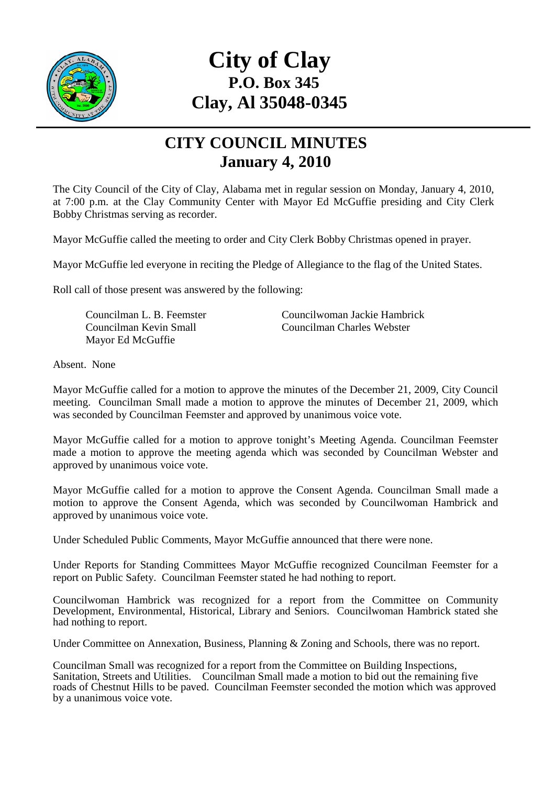

## **City of Clay P.O. Box 345 Clay, Al 35048-0345**

## **CITY COUNCIL MINUTES January 4, 2010**

The City Council of the City of Clay, Alabama met in regular session on Monday, January 4, 2010, at 7:00 p.m. at the Clay Community Center with Mayor Ed McGuffie presiding and City Clerk Bobby Christmas serving as recorder.

Mayor McGuffie called the meeting to order and City Clerk Bobby Christmas opened in prayer.

Mayor McGuffie led everyone in reciting the Pledge of Allegiance to the flag of the United States.

Roll call of those present was answered by the following:

Mayor Ed McGuffie

Councilman L. B. Feemster Councilwoman Jackie Hambrick Councilman Kevin Small Councilman Charles Webster

Absent. None

Mayor McGuffie called for a motion to approve the minutes of the December 21, 2009, City Council meeting. Councilman Small made a motion to approve the minutes of December 21, 2009, which was seconded by Councilman Feemster and approved by unanimous voice vote.

Mayor McGuffie called for a motion to approve tonight's Meeting Agenda. Councilman Feemster made a motion to approve the meeting agenda which was seconded by Councilman Webster and approved by unanimous voice vote.

Mayor McGuffie called for a motion to approve the Consent Agenda. Councilman Small made a motion to approve the Consent Agenda, which was seconded by Councilwoman Hambrick and approved by unanimous voice vote.

Under Scheduled Public Comments, Mayor McGuffie announced that there were none.

Under Reports for Standing Committees Mayor McGuffie recognized Councilman Feemster for a report on Public Safety. Councilman Feemster stated he had nothing to report.

Councilwoman Hambrick was recognized for a report from the Committee on Community Development, Environmental, Historical, Library and Seniors. Councilwoman Hambrick stated she had nothing to report.

Under Committee on Annexation, Business, Planning & Zoning and Schools, there was no report.

Councilman Small was recognized for a report from the Committee on Building Inspections, Sanitation, Streets and Utilities. Councilman Small made a motion to bid out the remaining five roads of Chestnut Hills to be paved. Councilman Feemster seconded the motion which was approved by a unanimous voice vote.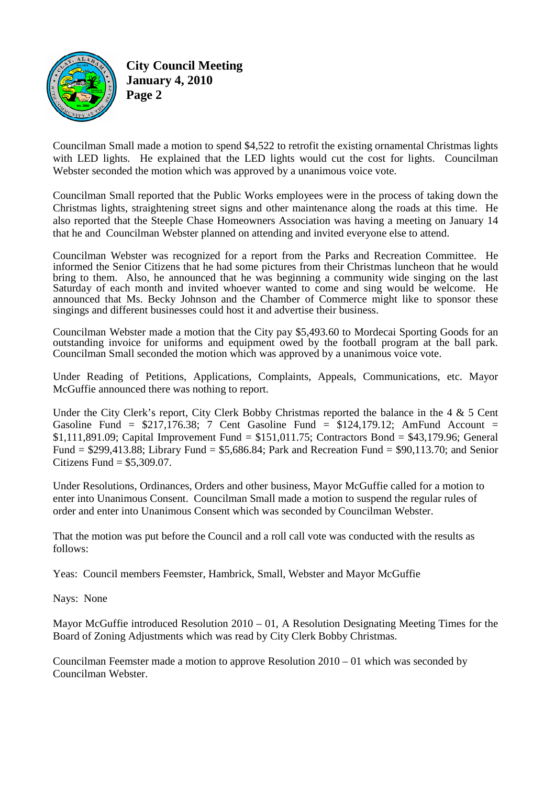

**City Council Meeting January 4, 2010 Page 2** 

Councilman Small made a motion to spend \$4,522 to retrofit the existing ornamental Christmas lights with LED lights. He explained that the LED lights would cut the cost for lights. Councilman Webster seconded the motion which was approved by a unanimous voice vote.

Councilman Small reported that the Public Works employees were in the process of taking down the Christmas lights, straightening street signs and other maintenance along the roads at this time. He also reported that the Steeple Chase Homeowners Association was having a meeting on January 14 that he and Councilman Webster planned on attending and invited everyone else to attend.

Councilman Webster was recognized for a report from the Parks and Recreation Committee. He informed the Senior Citizens that he had some pictures from their Christmas luncheon that he would bring to them. Also, he announced that he was beginning a community wide singing on the last Saturday of each month and invited whoever wanted to come and sing would be welcome. He announced that Ms. Becky Johnson and the Chamber of Commerce might like to sponsor these singings and different businesses could host it and advertise their business.

Councilman Webster made a motion that the City pay \$5,493.60 to Mordecai Sporting Goods for an outstanding invoice for uniforms and equipment owed by the football program at the ball park. Councilman Small seconded the motion which was approved by a unanimous voice vote.

Under Reading of Petitions, Applications, Complaints, Appeals, Communications, etc. Mayor McGuffie announced there was nothing to report.

Under the City Clerk's report, City Clerk Bobby Christmas reported the balance in the 4 & 5 Cent Gasoline Fund =  $$217,176.38$ ; 7 Cent Gasoline Fund =  $$124,179.12$ ; AmFund Account = \$1,111,891.09; Capital Improvement Fund = \$151,011.75; Contractors Bond = \$43,179.96; General Fund = \$299,413.88; Library Fund = \$5,686.84; Park and Recreation Fund = \$90,113.70; and Senior Citizens Fund  $=$  \$5,309.07.

Under Resolutions, Ordinances, Orders and other business, Mayor McGuffie called for a motion to enter into Unanimous Consent. Councilman Small made a motion to suspend the regular rules of order and enter into Unanimous Consent which was seconded by Councilman Webster.

That the motion was put before the Council and a roll call vote was conducted with the results as follows:

Yeas: Council members Feemster, Hambrick, Small, Webster and Mayor McGuffie

Nays: None

Mayor McGuffie introduced Resolution  $2010 - 01$ , A Resolution Designating Meeting Times for the Board of Zoning Adjustments which was read by City Clerk Bobby Christmas.

Councilman Feemster made a motion to approve Resolution 2010 – 01 which was seconded by Councilman Webster.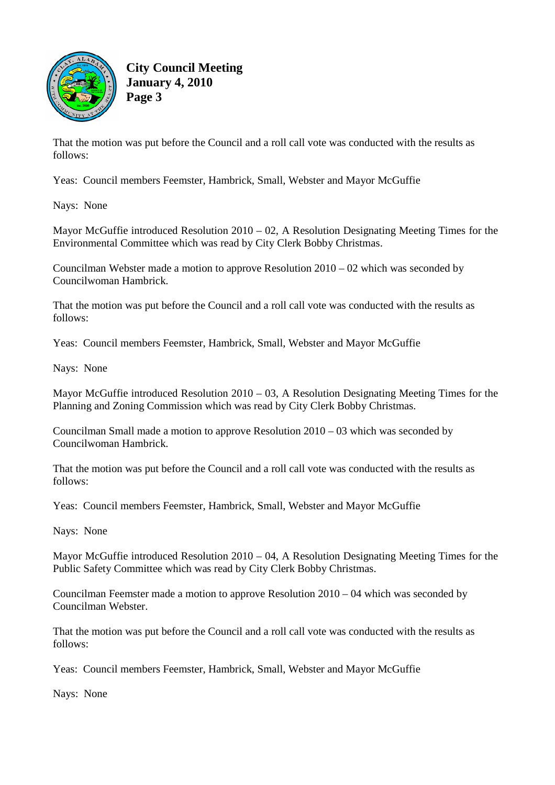

**City Council Meeting January 4, 2010 Page 3** 

That the motion was put before the Council and a roll call vote was conducted with the results as follows:

Yeas: Council members Feemster, Hambrick, Small, Webster and Mayor McGuffie

Nays: None

Mayor McGuffie introduced Resolution 2010 – 02, A Resolution Designating Meeting Times for the Environmental Committee which was read by City Clerk Bobby Christmas.

Councilman Webster made a motion to approve Resolution 2010 – 02 which was seconded by Councilwoman Hambrick.

That the motion was put before the Council and a roll call vote was conducted with the results as follows:

Yeas: Council members Feemster, Hambrick, Small, Webster and Mayor McGuffie

Nays: None

Mayor McGuffie introduced Resolution 2010 – 03, A Resolution Designating Meeting Times for the Planning and Zoning Commission which was read by City Clerk Bobby Christmas.

Councilman Small made a motion to approve Resolution 2010 – 03 which was seconded by Councilwoman Hambrick.

That the motion was put before the Council and a roll call vote was conducted with the results as follows:

Yeas: Council members Feemster, Hambrick, Small, Webster and Mayor McGuffie

Nays: None

Mayor McGuffie introduced Resolution 2010 – 04, A Resolution Designating Meeting Times for the Public Safety Committee which was read by City Clerk Bobby Christmas.

Councilman Feemster made a motion to approve Resolution 2010 – 04 which was seconded by Councilman Webster.

That the motion was put before the Council and a roll call vote was conducted with the results as follows:

Yeas: Council members Feemster, Hambrick, Small, Webster and Mayor McGuffie

Nays: None